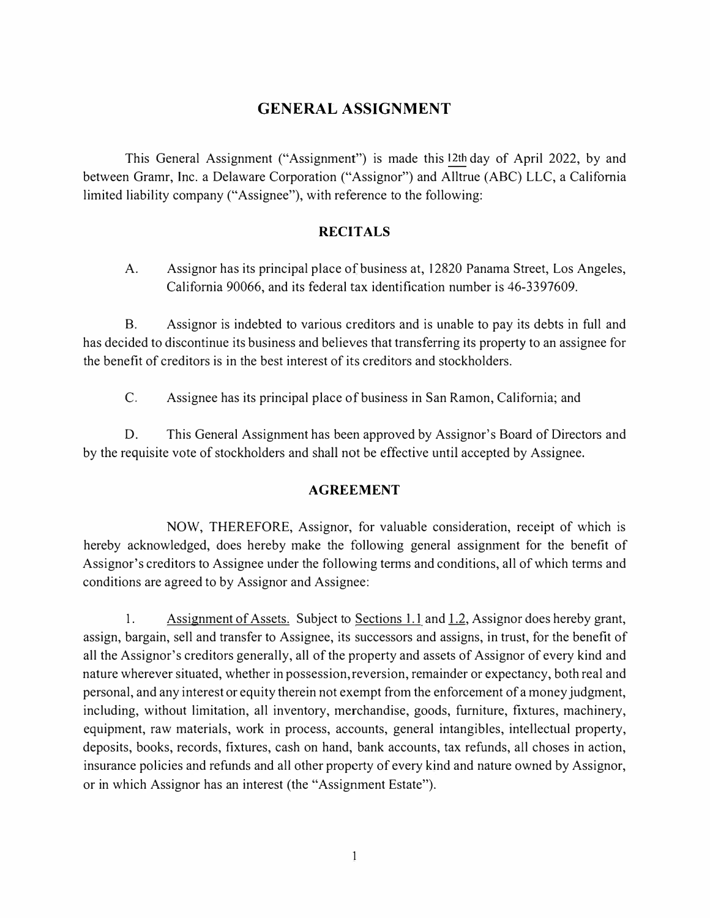## **GENERAL ASSIGNMENT**

This General Assignment ("Assignment") is made this 12th day of April 2022, by and between Gramr, Inc. a Delaware Corporation ("Assignor") and Alltrue (ABC) LLC, a California limited liability company ("Assignee"), with reference to the following:

## **RECITALS**

A. Assignor has its principal place of business at, 12820 Panama Street, Los Angeles, California 90066, and its federal tax identification number is 46-3397609.

B. Assignor is indebted to various creditors and is unable to pay its debts in full and has decided to discontinue its business and believes that transferring its property to an assignee for the benefit of creditors is in the best interest of its creditors and stockholders.

C. Assignee has its principal place of business in San Ramon, California; and

D. This General Assignment has been approved by Assignor's Board of Directors and by the requisite vote of stockholders and shall not be effective until accepted by Assignee.

## **AGREEMENT**

NOW, THEREFORE, Assignor, for valuable consideration, receipt of which is hereby acknowledged, does hereby make the following general assignment for the benefit of Assignor's creditors to Assignee under the following terms and conditions, all of which terms and conditions are agreed to by Assignor and Assignee:

1. Assignment of Assets. Subject to Sections 1.1 and 1.2, Assignor does hereby grant, assign, bargain, sell and transfer to Assignee, its successors and assigns, in trust, for the benefit of all the Assignor's creditors generally, all of the property and assets of Assignor of every kind and nature wherever situated, whether in possession, reversion, remainder or expectancy, both real and personal, and any interest or equity therein not exempt from the enforcement of a money judgment, including, without limitation, all inventory, merchandise, goods, furniture, fixtures, machinery, equipment, raw materials, work in process, accounts, general intangibles, intellectual property, deposits, books, records, fixtures, cash on hand, bank accounts, tax refunds, all choses in action, insurance policies and refunds and all other property of every kind and nature owned by Assignor, or in which Assignor has an interest (the "Assignment Estate").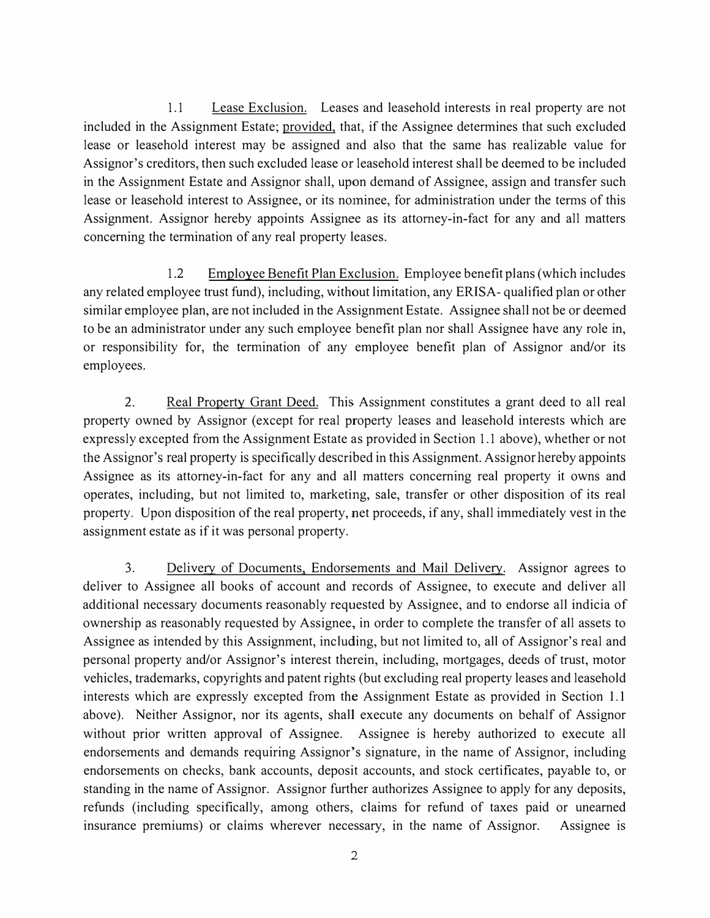1.1 Lease Exclusion. Leases and leasehold interests in real property are not included in the Assignment Estate; provided, that, if the Assignee determines that such excluded lease or leasehold interest may be assigned and also that the same has realizable value for Assignor's creditors, then such excluded lease or leasehold interest shall be deemed to be included in the Assignment Estate and Assignor shall, upon demand of Assignee, assign and transfer such lease or leasehold interest to Assignee, or its nominee, for administration under the tenns of this Assignment. Assignor hereby appoints Assignee as its attorney-in-fact for any and all matters concerning the termination of any real property leases.

1.2 Employee Benefit Plan Exclusion. Employee benefit plans (which includes any related employee trust fund), including, without limitation, any ERISA- qualified plan or other similar employee plan, are not included in the Assignment Estate. Assignee shall not be or deemed to be an administrator under any such employee benefit plan nor shall Assignee have any role in, or responsibility for, the termination of any employee benefit plan of Assignor and/or its employees.

2. Real Property Grant Deed. This Assignment constitutes a grant deed to all real property owned by Assignor ( except for real property leases and leasehold interests which are expressly excepted from the Assignment Estate as provided in Section 1.1 above), whether or not the Assignor's real property is specifically described in this Assignment. Assignor hereby appoints Assignee as its attorney-in-fact for any and all matters concerning real property it owns and operates, including, but not limited to, marketing, sale, transfer or other disposition of its real property. Upon disposition of the real property, net proceeds, if any, shall immediately vest in the assignment estate as if it was personal property.

3. Delivery of Documents, Endorsements and Mail Delivery. Assignor agrees to deliver to Assignee all books of account and records of Assignee, to execute and deliver all additional necessary documents reasonably requested by Assignee, and to endorse all indicia of ownership as reasonably requested by Assignee, in order to complete the transfer of all assets to Assignee as intended by this Assignment, including, but not limited to, all of Assignor's real and personal property and/or Assignor's interest therein, including, mortgages, deeds of trust, motor vehicles, trademarks, copyrights and patent rights (but excluding real property leases and leasehold interests which are expressly excepted from the Assignment Estate as provided in Section 1.1 above). Neither Assignor, nor its agents, shall execute any documents on behalf of Assignor without prior written approval of Assignee. Assignee is hereby authorized to execute all endorsements and demands requiring Assignor's signature, in the name of Assignor, including endorsements on checks, bank accounts, deposit accounts, and stock certificates, payable to, or standing in the name of Assignor. Assignor further authorizes Assignee to apply for any deposits, refunds (including specifically, among others, claims for refund of taxes paid or unearned insurance premiums) or claims wherever necessary, in the name of Assignor. Assignee is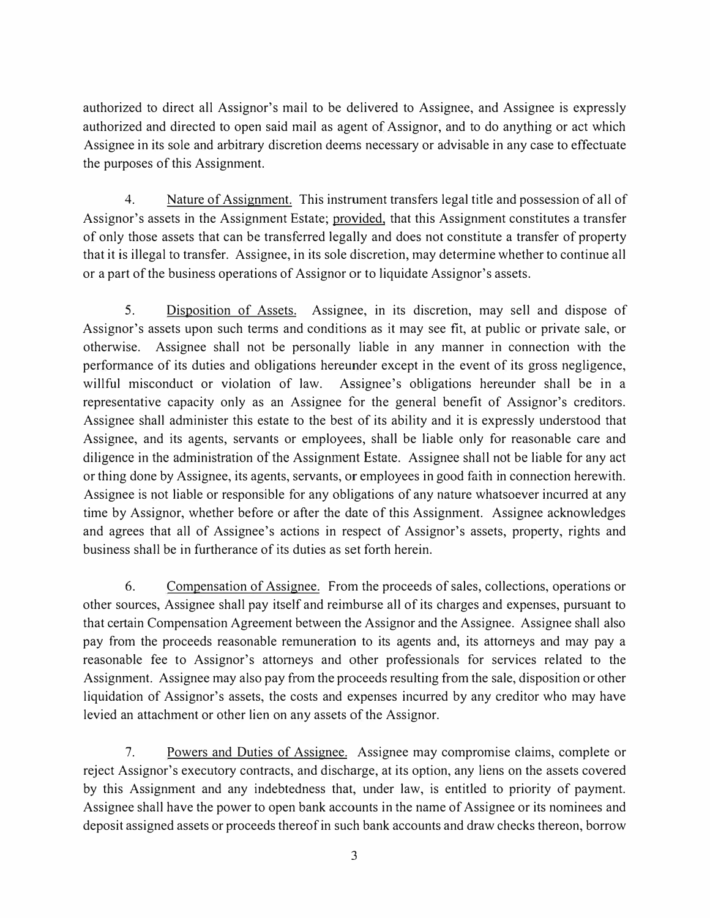authorized to direct all Assignor's mail to be delivered to Assignee, and Assignee is expressly authorized and directed to open said mail as agent of Assignor, and to do anything or act which Assignee in its sole and arbitrary discretion deems necessary or advisable in any case to effectuate the purposes of this Assignment.

4. Nature of Assignment. This instrument transfers legal title and possession of all of Assignor's assets in the Assignment Estate; provided, that this Assignment constitutes a transfer of only those assets that can be transferred legally and does not constitute a transfer of property that it is illegal to transfer. Assignee, in its sole discretion, may determine whether to continue all or a part of the business operations of Assignor or to liquidate Assignor's assets.

5. Disposition of Assets. Assignee, in its discretion, may sell and dispose of Assignor's assets upon such terms and conditions as it may see fit, at public or private sale, or otherwise. Assignee shall not be personally liable in any manner in connection with the performance of its duties and obligations hereunder except in the event of its gross negligence, willful misconduct or violation of law. Assignee's obligations hereunder shall be in a representative capacity only as an Assignee for the general benefit of Assignor's creditors. Assignee shall administer this estate to the best of its ability and it is expressly understood that Assignee, and its agents, servants or employees, shall be liable only for reasonable care and diligence in the administration of the Assignment Estate. Assignee shall not be liable for any act or thing done by Assignee, its agents, servants, or employees in good faith in connection herewith. Assignee is not liable or responsible for any obligations of any nature whatsoever incurred at any time by Assignor, whether before or after the date of this Assignment. Assignee acknowledges and agrees that all of Assignee's actions in respect of Assignor's assets, property, rights and business shall be in furtherance of its duties as set forth herein.

6. Compensation of Assignee. From the proceeds of sales, collections, operations or other sources, Assignee shall pay itself and reimburse all of its charges and expenses, pursuant to that certain Compensation Agreement between the Assignor and the Assignee. Assignee shall also pay from the proceeds reasonable remuneration to its agents and, its attorneys and may pay a reasonable fee to Assignor's attorneys and other professionals for services related to the Assignment. Assignee may also pay from the proceeds resulting from the sale, disposition or other liquidation of Assignor's assets, the costs and expenses incurred by any creditor who may have levied an attachment or other lien on any assets of the Assignor.

7. Powers and Duties of Assignee. Assignee may compromise claims, complete or reject Assignor's executory contracts, and discharge, at its option, any liens on the assets covered by this Assignment and any indebtedness that, under law, is entitled to priority of payment. Assignee shall have the power to open bank accounts in the name of Assignee or its nominees and deposit assigned assets or proceeds thereof in such bank accounts and draw checks thereon, borrow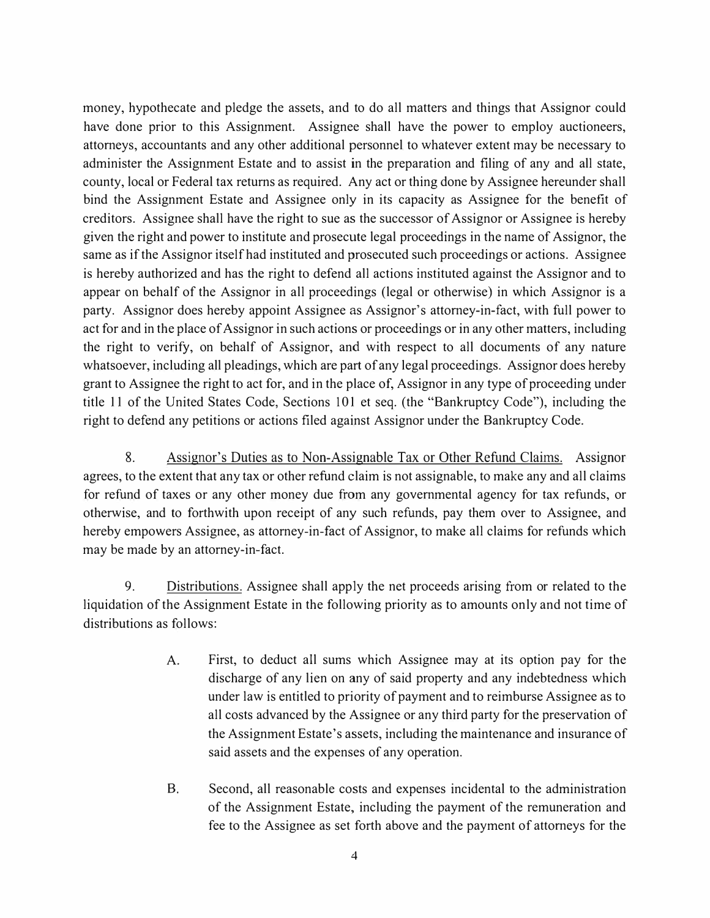money, hypothecate and pledge the assets, and to do all matters and things that Assignor could have done prior to this Assignment. Assignee shall have the power to employ auctioneers, attorneys, accountants and any other additional personnel to whatever extent may be necessary to administer the Assignment Estate and to assist in the preparation and filing of any and all state, county, local or Federal tax returns as required. Any act or thing done by Assignee hereunder shall bind the Assignment Estate and Assignee only in its capacity as Assignee for the benefit of creditors. Assignee shall have the right to sue as the successor of Assignor or Assignee is hereby given the right and power to institute and prosecute legal proceedings in the name of Assignor, the same as if the Assignor itself had instituted and prosecuted such proceedings or actions. Assignee is hereby authorized and has the right to defend all actions instituted against the Assignor and to appear on behalf of the Assignor in all proceedings (legal or otherwise) in which Assignor is a party. Assignor does hereby appoint Assignee as Assignor's attorney-in-fact, with full power to act for and in the place of Assignor in such actions or proceedings or in any other matters, including the right to verify, on behalf of Assignor, and with respect to all documents of any nature whatsoever, including all pleadings, which are part of any legal proceedings. Assignor does hereby grant to Assignee the right to act for, and in the place of, Assignor in any type of proceeding under title 11 of the United States Code, Sections 101 et seq. (the "Bankruptcy Code"), including the right to defend any petitions or actions filed against Assignor under the Bankruptcy Code.

8. Assignor's Duties as to Non-Assignable Tax or Other Refund Claims. Assignor agrees, to the extent that any tax or other refund claim is not assignable, to make any and all claims for refund of taxes or any other money due from any governmental agency for tax refunds, or otherwise, and to forthwith upon receipt of any such refunds, pay them over to Assignee, and hereby empowers Assignee, as attorney-in-fact of Assignor, to make all claims for refunds which may be made by an attorney-in-fact.

9. Distributions. Assignee shall apply the net proceeds arising from or related to the liquidation of the Assignment Estate in the following priority as to amounts only and not time of distributions as follows:

- A. First, to deduct all sums which Assignee may at its option pay for the discharge of any lien on any of said property and any indebtedness which under law is entitled to priority of payment and to reimburse Assignee as to all costs advanced by the Assignee or any third party for the preservation of the Assignment Estate's assets, including the maintenance and insurance of said assets and the expenses of any operation.
- B. Second, all reasonable costs and expenses incidental to the administration of the Assignment Estate, including the payment of the remuneration and fee to the Assignee as set forth above and the payment of attorneys for the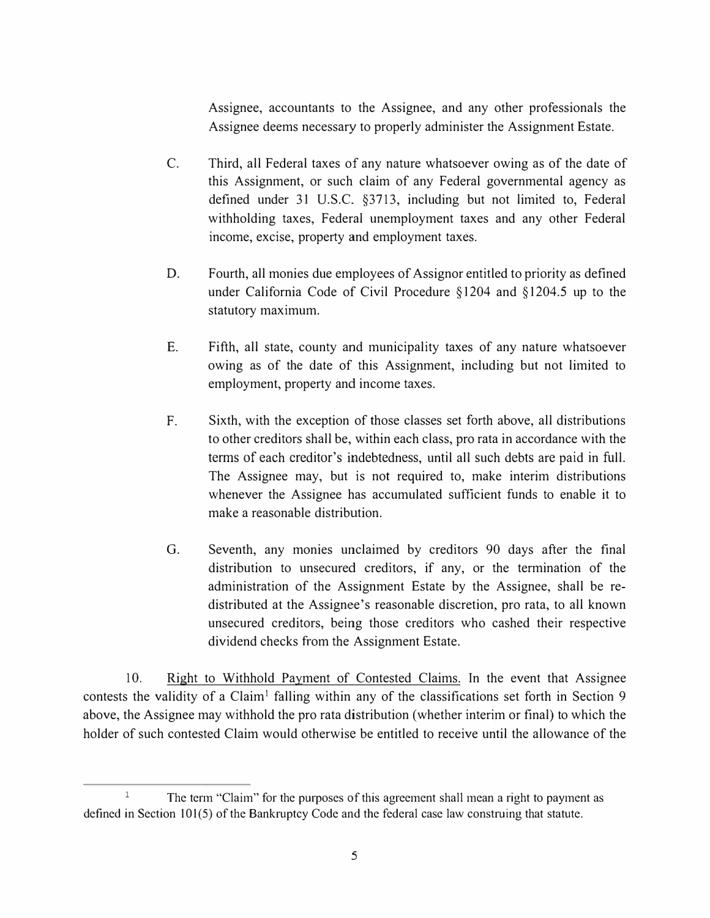Assignee, accountants to the Assignee, and any other professionals the Assignee deems necessary to properly administer the Assignment Estate.

- C. Third, all Federal taxes of any nature whatsoever owing as of the date of this Assignment, or such claim of any Federal governmental agency as defined under 31 U.S.C. §3713, including but not limited to, Federal withholding taxes, Federal unemployment taxes and any other Federal income, excise, property and employment taxes.
- D. Fourth, all monies due employees of Assignor entitled to priority as defined under California Code of Civil Procedure §1204 and §1204.5 up to the statutory maximum.
- E. Fifth, all state, county and municipality taxes of any nature whatsoever owing as of the date of this Assignment, including but not limited to employment, property and income taxes.
- F. Sixth, with the exception of those classes set forth above, all distributions to other creditors shall be, within each class, pro rata in accordance with the terms of each creditor's indebtedness, until all such debts are paid in full. The Assignee may, but is not required to, make interim distributions whenever the Assignee has accumulated sufficient funds to enable it to make a reasonable distribution.
- G. Seventh, any monies unclaimed by creditors 90 days after the final distribution to unsecured creditors, if any, or the termination of the administration of the Assignment Estate by the Assignee, shall be redistributed at the Assignee's reasonable discretion, pro rata, to all known unsecured creditors, being those creditors who cashed their respective dividend checks from the Assignment Estate.

10. Right to Withhold Payment of Contested Claims. In the event that Assignee contests the validity of a Claim<sup>1</sup> falling within any of the classifications set forth in Section 9 above, the Assignee may withhold the pro rata distribution (whether interim or final) to which the holder of such contested Claim would otherwise be entitled to receive until the allowance of the

<sup>&</sup>lt;sup>1</sup> The term "Claim" for the purposes of this agreement shall mean a right to payment as defined in Section 101(5) of the Bankruptcy Code and the federal case law construing that statute.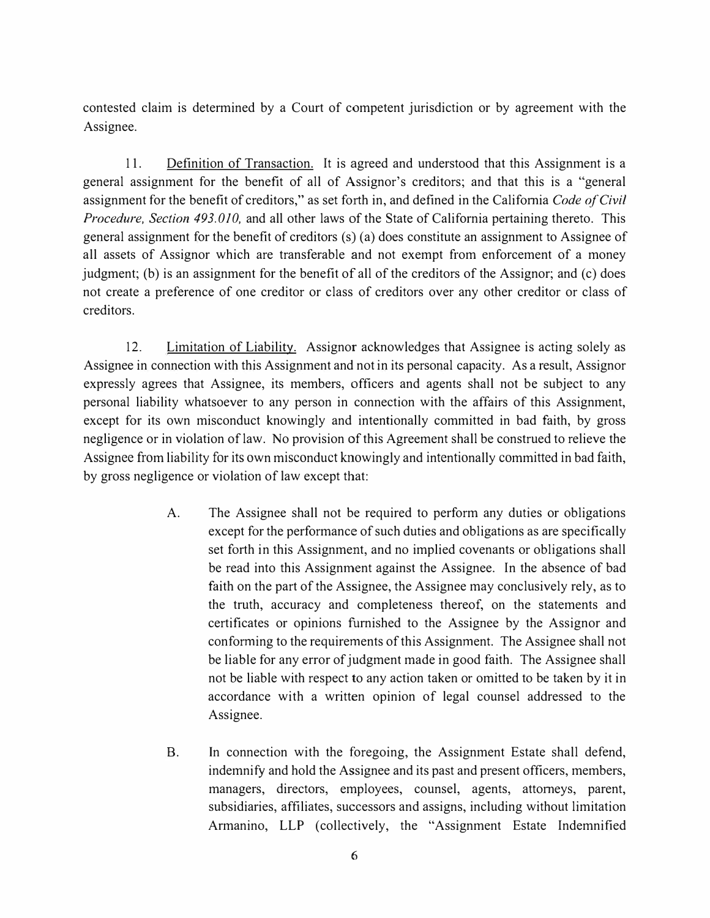contested claim is determined by a Court of competent jurisdiction or by agreement with the Assignee.

11. Definition of Transaction. It is agreed and understood that this Assignment is a general assignment for the benefit of all of Assignor's creditors; and that this is a "general assignment for the benefit of creditors," as set forth in, and defined in the California *Code of Civil Procedure, Section 493.010,* and all other laws of the State of California pertaining thereto. This general assignment for the benefit of creditors (s) (a) does constitute an assignment to Assignee of all assets of Assignor which are transferable and not exempt from enforcement of a money judgment; (b) is an assignment for the benefit of all of the creditors of the Assignor; and  $(c)$  does not create a preference of one creditor or class of creditors over any other creditor or class of creditors.

12. Limitation of Liability. Assignor acknowledges that Assignee is acting solely as Assignee in connection with this Assignment and not in its personal capacity. As a result, Assignor expressly agrees that Assignee, its members, officers and agents shall not be subject to any personal liability whatsoever to any person in connection with the affairs of this Assignment, except for its own misconduct knowingly and intentionally committed in bad faith, by gross negligence or in violation of law. No provision of this Agreement shall be construed to relieve the Assignee from liability for its own misconduct knowingly and intentionally committed in bad faith, by gross negligence or violation of law except that:

- A. The Assignee shall not be required to perform any duties or obligations except for the performance of such duties and obligations as are specifically set forth in this Assignment, and no implied covenants or obligations shall be read into this Assignment against the Assignee. In the absence of bad faith on the part of the Assignee, the Assignee may conclusively rely, as to the truth, accuracy and completeness thereof, on the statements and certificates or opinions furnished to the Assignee by the Assignor and conforming to the requirements of this Assignment. The Assignee shall not be liable for any error of judgment made in good faith. The Assignee shall not be liable with respect to any action taken or omitted to be taken by it in accordance with a written opinion of legal counsel addressed to the Assignee.
- B. In connection with the foregoing, the Assignment Estate shall defend, indemnify and hold the Assignee and its past and present officers, members, managers, directors, employees, counsel, agents, attorneys, parent, subsidiaries, affiliates, successors and assigns, including without limitation Armanino, LLP (collectively, the "Assignment Estate Indemnified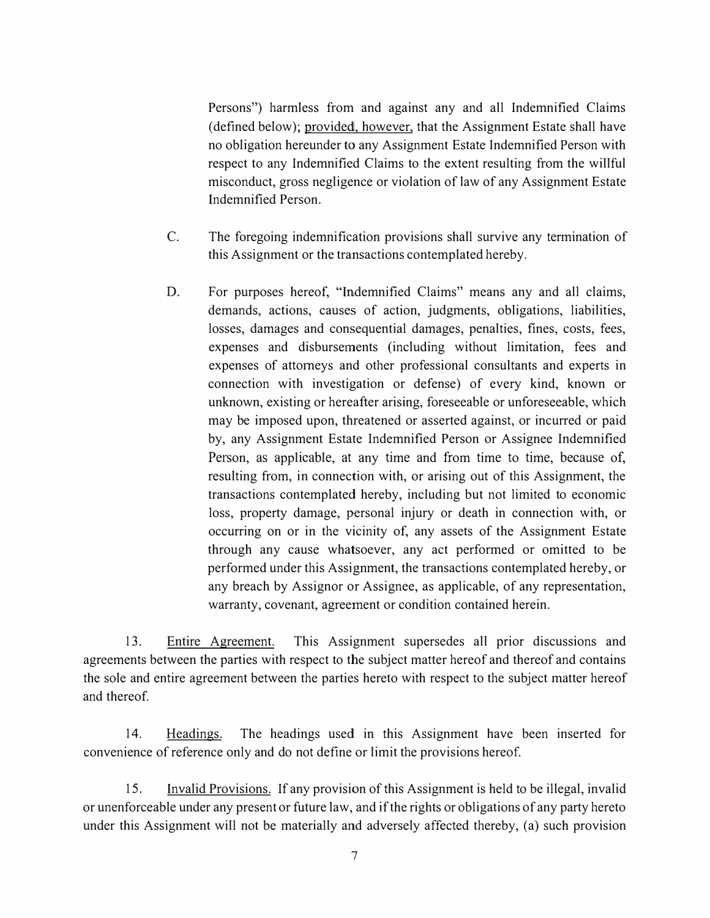Persons") harmless from and against any and all Indemnified Claims ( defined below); provided, however, that the Assignment Estate shall have no obligation hereunder to any Assignment Estate Indemnified Person with respect to any Indemnified Claims to the extent resulting from the willful misconduct, gross negligence or violation of law of any Assignment Estate Indemnified Person.

- C. The foregoing indemnification provisions shall survive any termination of this Assignment or the transactions contemplated hereby.
- D. For purposes hereof, "Indemnified Claims" means any and all claims, demands, actions, causes of action, judgments, obligations, liabilities, losses, damages and consequential damages, penalties, fines, costs, fees, expenses and disbursements (including without limitation, fees and expenses of attorneys and other professional consultants and experts in connection with investigation or defense) of every kind, known or unknown, existing or hereafter arising, foreseeable or unforeseeable, which may be imposed upon, threatened or asserted against, or incurred or paid by, any Assignment Estate Indemnified Person or Assignee Indemnified Person, as applicable, at any time and from time to time, because of, resulting from, in connection with, or arising out of this Assignment, the transactions contemplated hereby, including but not limited to economic loss, property damage, personal injury or death in connection with, or occurring on or in the vicinity of, any assets of the Assignment Estate through any cause whatsoever, any act performed or omitted to be performed under this Assignment, the transactions contemplated hereby, or any breach by Assignor or Assignee, as applicable, of any representation, warranty, covenant, agreement or condition contained herein.

13. Entire Agreement. This Assignment supersedes all prior discussions and agreements between the parties with respect to the subject matter hereof and thereof and contains the sole and entire agreement between the parties hereto with respect to the subject matter hereof and thereof.

14. Headings. The headings used in this Assignment have been inserted for convenience of reference only and do not define or limit the provisions hereof.

15. Invalid Provisions. If any provision of this Assignment is held to be illegal, invalid or unenforceable under any present or future law, and if the rights or obligations of any party hereto under this Assignment will not be materially and adversely affected thereby, (a) such provision